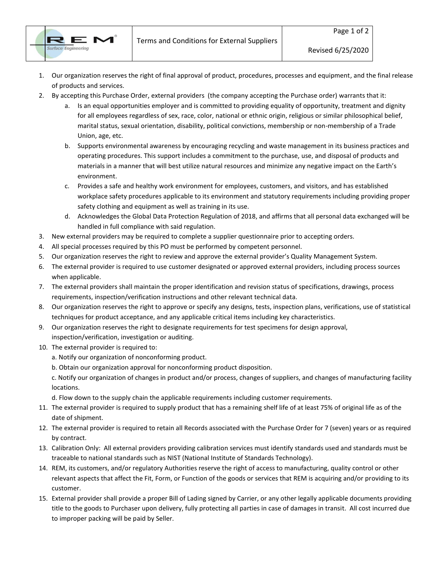Terms and Conditions for External Suppliers



- 1. Our organization reserves the right of final approval of product, procedures, processes and equipment, and the final release of products and services.
- 2. By accepting this Purchase Order, external providers (the company accepting the Purchase order) warrants that it:
	- a. Is an equal opportunities employer and is committed to providing equality of opportunity, treatment and dignity for all employees regardless of sex, race, color, national or ethnic origin, religious or similar philosophical belief, marital status, sexual orientation, disability, political convictions, membership or non-membership of a Trade Union, age, etc.
	- b. Supports environmental awareness by encouraging recycling and waste management in its business practices and operating procedures. This support includes a commitment to the purchase, use, and disposal of products and materials in a manner that will best utilize natural resources and minimize any negative impact on the Earth's environment.
	- c. Provides a safe and healthy work environment for employees, customers, and visitors, and has established workplace safety procedures applicable to its environment and statutory requirements including providing proper safety clothing and equipment as well as training in its use.
	- d. Acknowledges the Global Data Protection Regulation of 2018, and affirms that all personal data exchanged will be handled in full compliance with said regulation.
- 3. New external providers may be required to complete a supplier questionnaire prior to accepting orders.
- 4. All special processes required by this PO must be performed by competent personnel.
- 5. Our organization reserves the right to review and approve the external provider's Quality Management System.
- 6. The external provider is required to use customer designated or approved external providers, including process sources when applicable.
- 7. The external providers shall maintain the proper identification and revision status of specifications, drawings, process requirements, inspection/verification instructions and other relevant technical data.
- 8. Our organization reserves the right to approve or specify any designs, tests, inspection plans, verifications, use of statistical techniques for product acceptance, and any applicable critical items including key characteristics.
- 9. Our organization reserves the right to designate requirements for test specimens for design approval, inspection/verification, investigation or auditing.
- 10. The external provider is required to:
	- a. Notify our organization of nonconforming product.
	- b. Obtain our organization approval for nonconforming product disposition.

c. Notify our organization of changes in product and/or process, changes of suppliers, and changes of manufacturing facility locations.

d. Flow down to the supply chain the applicable requirements including customer requirements.

- 11. The external provider is required to supply product that has a remaining shelf life of at least 75% of original life as of the date of shipment.
- 12. The external provider is required to retain all Records associated with the Purchase Order for 7 (seven) years or as required by contract.
- 13. Calibration Only: All external providers providing calibration services must identify standards used and standards must be traceable to national standards such as NIST (National Institute of Standards Technology).
- 14. REM, its customers, and/or regulatory Authorities reserve the right of access to manufacturing, quality control or other relevant aspects that affect the Fit, Form, or Function of the goods or services that REM is acquiring and/or providing to its customer.
- 15. External provider shall provide a proper Bill of Lading signed by Carrier, or any other legally applicable documents providing title to the goods to Purchaser upon delivery, fully protecting all parties in case of damages in transit. All cost incurred due to improper packing will be paid by Seller.